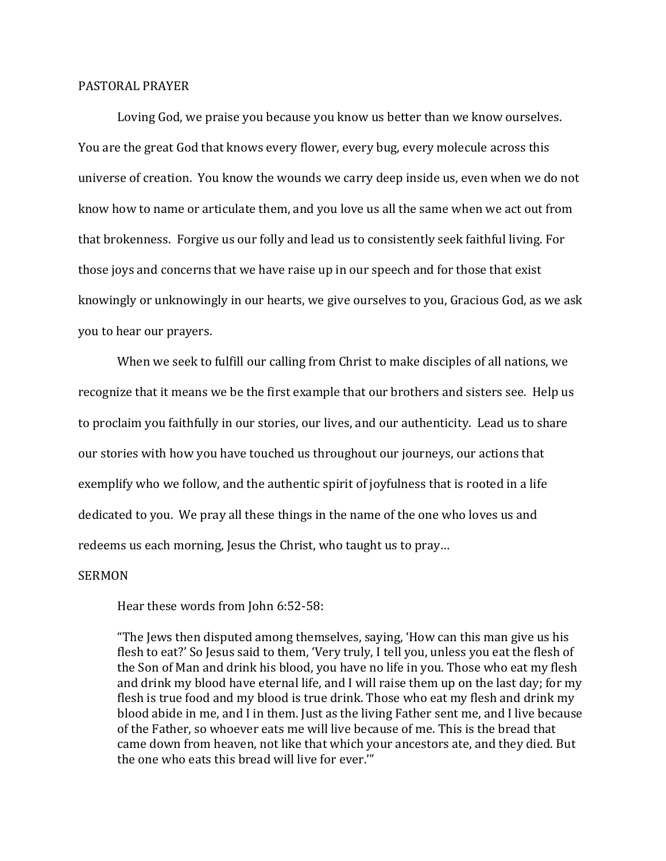## PASTORAL PRAYER

Loving God, we praise you because you know us better than we know ourselves. You are the great God that knows every flower, every bug, every molecule across this universe of creation. You know the wounds we carry deep inside us, even when we do not know how to name or articulate them, and you love us all the same when we act out from that brokenness. Forgive us our folly and lead us to consistently seek faithful living. For those joys and concerns that we have raise up in our speech and for those that exist knowingly or unknowingly in our hearts, we give ourselves to you, Gracious God, as we ask you to hear our prayers.

When we seek to fulfill our calling from Christ to make disciples of all nations, we recognize that it means we be the first example that our brothers and sisters see. Help us to proclaim you faithfully in our stories, our lives, and our authenticity. Lead us to share our stories with how you have touched us throughout our journeys, our actions that exemplify who we follow, and the authentic spirit of joyfulness that is rooted in a life dedicated to you. We pray all these things in the name of the one who loves us and redeems us each morning, Jesus the Christ, who taught us to pray…

## SERMON

Hear these words from John 6:52-58:

"The Jews then disputed among themselves, saying, 'How can this man give us his flesh to eat?' So Jesus said to them, 'Very truly, I tell you, unless you eat the flesh of the Son of Man and drink his blood, you have no life in you. Those who eat my flesh and drink my blood have eternal life, and I will raise them up on the last day; for my flesh is true food and my blood is true drink. Those who eat my flesh and drink my blood abide in me, and I in them. Just as the living Father sent me, and I live because of the Father, so whoever eats me will live because of me. This is the bread that came down from heaven, not like that which your ancestors ate, and they died. But the one who eats this bread will live for ever.'"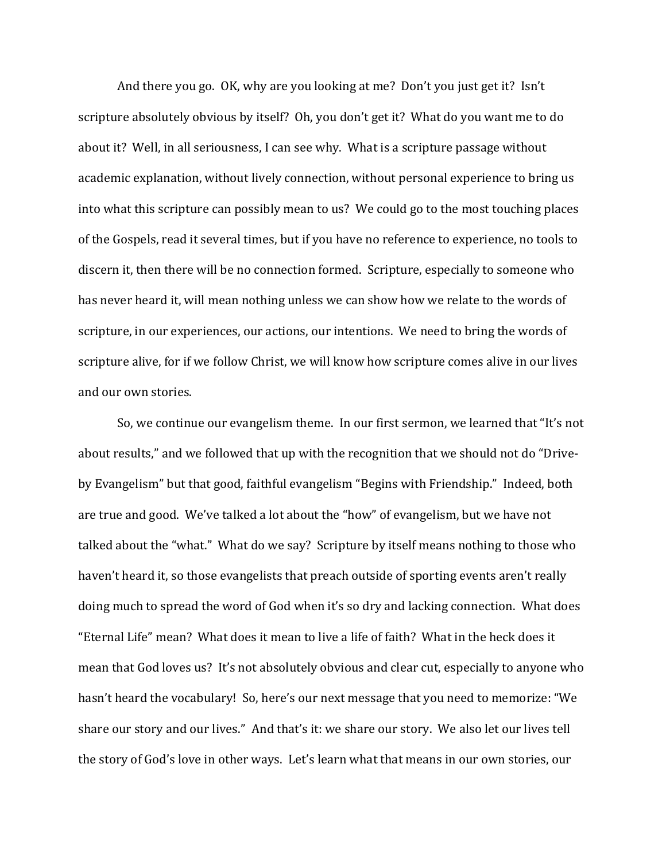And there you go. OK, why are you looking at me? Don't you just get it? Isn't scripture absolutely obvious by itself? Oh, you don't get it? What do you want me to do about it? Well, in all seriousness, I can see why. What is a scripture passage without academic explanation, without lively connection, without personal experience to bring us into what this scripture can possibly mean to us? We could go to the most touching places of the Gospels, read it several times, but if you have no reference to experience, no tools to discern it, then there will be no connection formed. Scripture, especially to someone who has never heard it, will mean nothing unless we can show how we relate to the words of scripture, in our experiences, our actions, our intentions. We need to bring the words of scripture alive, for if we follow Christ, we will know how scripture comes alive in our lives and our own stories.

So, we continue our evangelism theme. In our first sermon, we learned that "It's not about results," and we followed that up with the recognition that we should not do "Driveby Evangelism" but that good, faithful evangelism "Begins with Friendship." Indeed, both are true and good. We've talked a lot about the "how" of evangelism, but we have not talked about the "what." What do we say? Scripture by itself means nothing to those who haven't heard it, so those evangelists that preach outside of sporting events aren't really doing much to spread the word of God when it's so dry and lacking connection. What does "Eternal Life" mean? What does it mean to live a life of faith? What in the heck does it mean that God loves us? It's not absolutely obvious and clear cut, especially to anyone who hasn't heard the vocabulary! So, here's our next message that you need to memorize: "We share our story and our lives." And that's it: we share our story. We also let our lives tell the story of God's love in other ways. Let's learn what that means in our own stories, our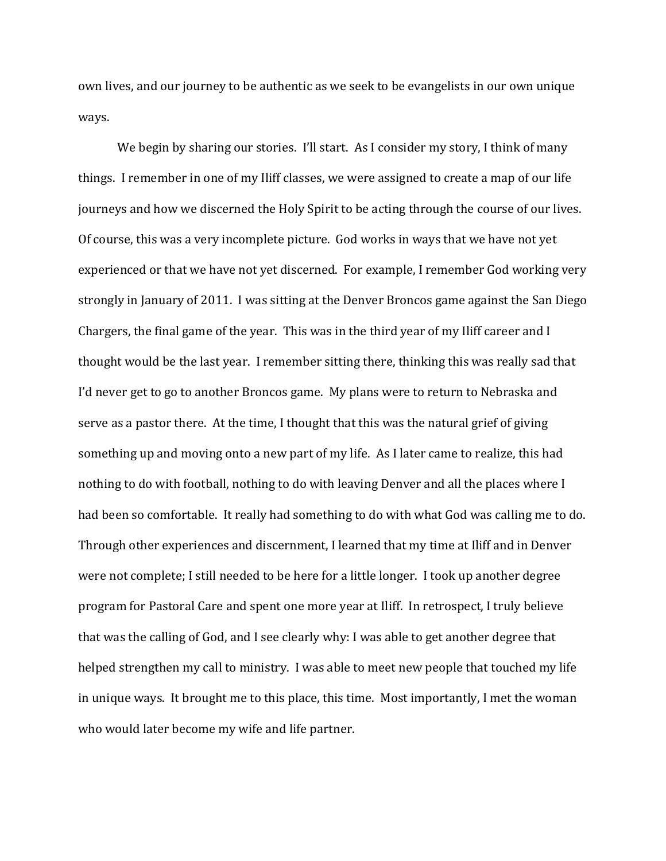own lives, and our journey to be authentic as we seek to be evangelists in our own unique ways.

We begin by sharing our stories. I'll start. As I consider my story, I think of many things. I remember in one of my Iliff classes, we were assigned to create a map of our life journeys and how we discerned the Holy Spirit to be acting through the course of our lives. Of course, this was a very incomplete picture. God works in ways that we have not yet experienced or that we have not yet discerned. For example, I remember God working very strongly in January of 2011. I was sitting at the Denver Broncos game against the San Diego Chargers, the final game of the year. This was in the third year of my Iliff career and I thought would be the last year. I remember sitting there, thinking this was really sad that I'd never get to go to another Broncos game. My plans were to return to Nebraska and serve as a pastor there. At the time, I thought that this was the natural grief of giving something up and moving onto a new part of my life. As I later came to realize, this had nothing to do with football, nothing to do with leaving Denver and all the places where I had been so comfortable. It really had something to do with what God was calling me to do. Through other experiences and discernment, I learned that my time at Iliff and in Denver were not complete; I still needed to be here for a little longer. I took up another degree program for Pastoral Care and spent one more year at Iliff. In retrospect, I truly believe that was the calling of God, and I see clearly why: I was able to get another degree that helped strengthen my call to ministry. I was able to meet new people that touched my life in unique ways. It brought me to this place, this time. Most importantly, I met the woman who would later become my wife and life partner.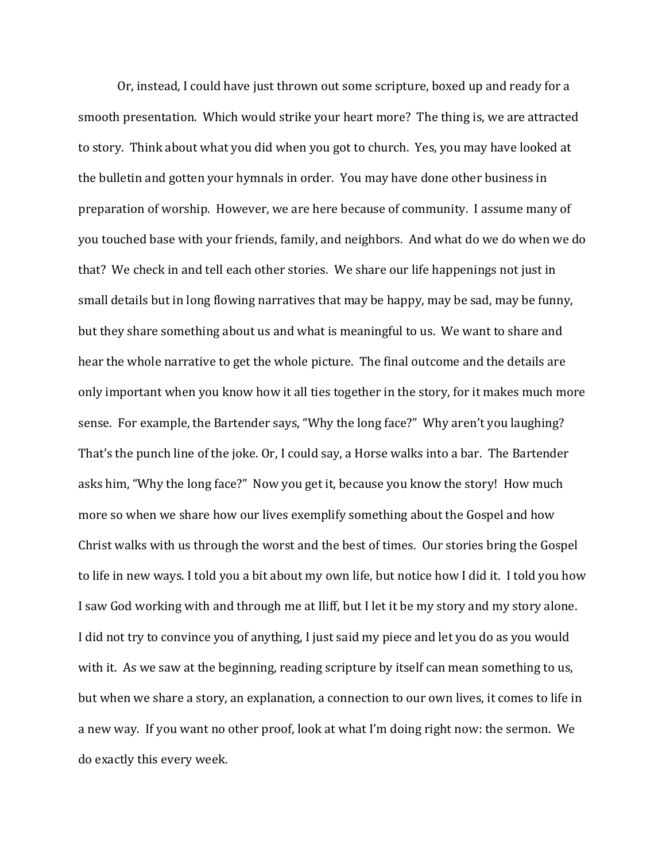Or, instead, I could have just thrown out some scripture, boxed up and ready for a smooth presentation. Which would strike your heart more? The thing is, we are attracted to story. Think about what you did when you got to church. Yes, you may have looked at the bulletin and gotten your hymnals in order. You may have done other business in preparation of worship. However, we are here because of community. I assume many of you touched base with your friends, family, and neighbors. And what do we do when we do that? We check in and tell each other stories. We share our life happenings not just in small details but in long flowing narratives that may be happy, may be sad, may be funny, but they share something about us and what is meaningful to us. We want to share and hear the whole narrative to get the whole picture. The final outcome and the details are only important when you know how it all ties together in the story, for it makes much more sense. For example, the Bartender says, "Why the long face?" Why aren't you laughing? That's the punch line of the joke. Or, I could say, a Horse walks into a bar. The Bartender asks him, "Why the long face?" Now you get it, because you know the story! How much more so when we share how our lives exemplify something about the Gospel and how Christ walks with us through the worst and the best of times. Our stories bring the Gospel to life in new ways. I told you a bit about my own life, but notice how I did it. I told you how I saw God working with and through me at Iliff, but I let it be my story and my story alone. I did not try to convince you of anything, I just said my piece and let you do as you would with it. As we saw at the beginning, reading scripture by itself can mean something to us, but when we share a story, an explanation, a connection to our own lives, it comes to life in a new way. If you want no other proof, look at what I'm doing right now: the sermon. We do exactly this every week.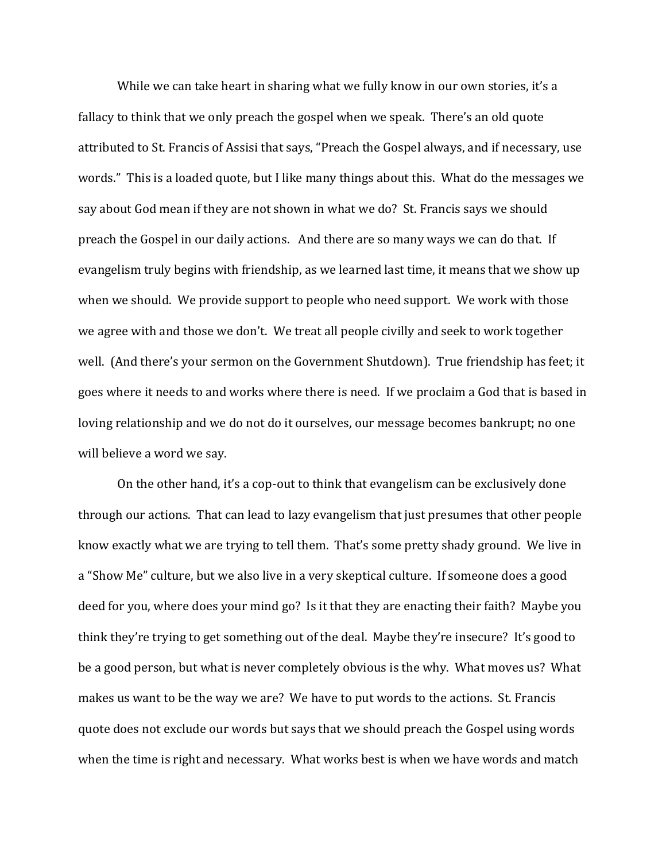While we can take heart in sharing what we fully know in our own stories, it's a fallacy to think that we only preach the gospel when we speak. There's an old quote attributed to St. Francis of Assisi that says, "Preach the Gospel always, and if necessary, use words." This is a loaded quote, but I like many things about this. What do the messages we say about God mean if they are not shown in what we do? St. Francis says we should preach the Gospel in our daily actions. And there are so many ways we can do that. If evangelism truly begins with friendship, as we learned last time, it means that we show up when we should. We provide support to people who need support. We work with those we agree with and those we don't. We treat all people civilly and seek to work together well. (And there's your sermon on the Government Shutdown). True friendship has feet; it goes where it needs to and works where there is need. If we proclaim a God that is based in loving relationship and we do not do it ourselves, our message becomes bankrupt; no one will believe a word we say.

On the other hand, it's a cop-out to think that evangelism can be exclusively done through our actions. That can lead to lazy evangelism that just presumes that other people know exactly what we are trying to tell them. That's some pretty shady ground. We live in a "Show Me" culture, but we also live in a very skeptical culture. If someone does a good deed for you, where does your mind go? Is it that they are enacting their faith? Maybe you think they're trying to get something out of the deal. Maybe they're insecure? It's good to be a good person, but what is never completely obvious is the why. What moves us? What makes us want to be the way we are? We have to put words to the actions. St. Francis quote does not exclude our words but says that we should preach the Gospel using words when the time is right and necessary. What works best is when we have words and match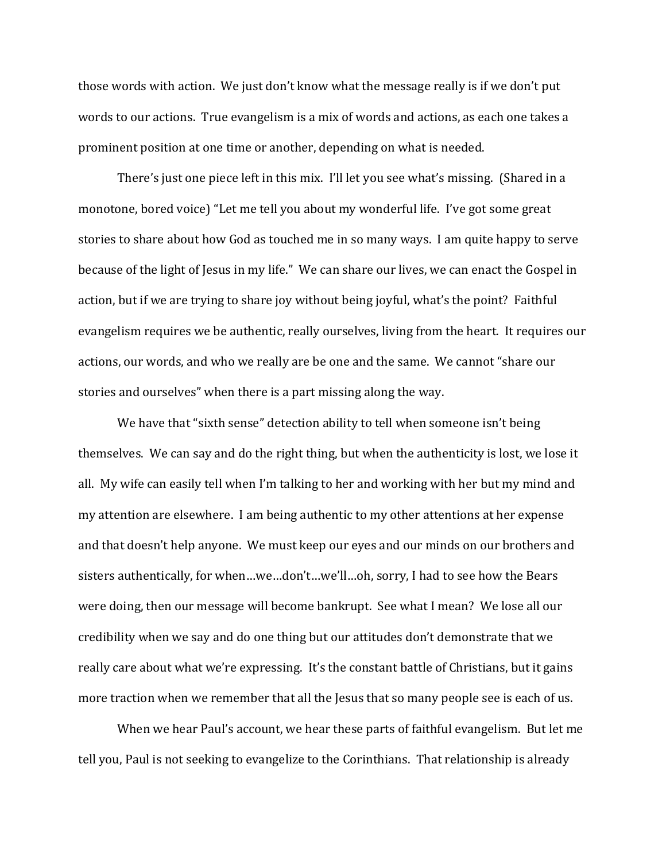those words with action. We just don't know what the message really is if we don't put words to our actions. True evangelism is a mix of words and actions, as each one takes a prominent position at one time or another, depending on what is needed.

There's just one piece left in this mix. I'll let you see what's missing. (Shared in a monotone, bored voice) "Let me tell you about my wonderful life. I've got some great stories to share about how God as touched me in so many ways. I am quite happy to serve because of the light of Jesus in my life." We can share our lives, we can enact the Gospel in action, but if we are trying to share joy without being joyful, what's the point? Faithful evangelism requires we be authentic, really ourselves, living from the heart. It requires our actions, our words, and who we really are be one and the same. We cannot "share our stories and ourselves" when there is a part missing along the way.

We have that "sixth sense" detection ability to tell when someone isn't being themselves. We can say and do the right thing, but when the authenticity is lost, we lose it all. My wife can easily tell when I'm talking to her and working with her but my mind and my attention are elsewhere. I am being authentic to my other attentions at her expense and that doesn't help anyone. We must keep our eyes and our minds on our brothers and sisters authentically, for when…we…don't…we'll…oh, sorry, I had to see how the Bears were doing, then our message will become bankrupt. See what I mean? We lose all our credibility when we say and do one thing but our attitudes don't demonstrate that we really care about what we're expressing. It's the constant battle of Christians, but it gains more traction when we remember that all the Jesus that so many people see is each of us.

When we hear Paul's account, we hear these parts of faithful evangelism. But let me tell you, Paul is not seeking to evangelize to the Corinthians. That relationship is already